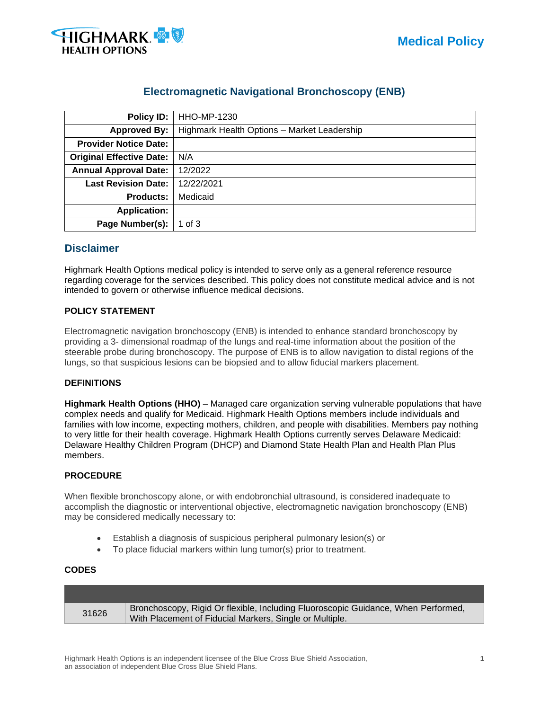

# **Electromagnetic Navigational Bronchoscopy (ENB)**

| Policy ID:                      | HHO-MP-1230                                 |  |  |
|---------------------------------|---------------------------------------------|--|--|
| <b>Approved By:</b>             | Highmark Health Options - Market Leadership |  |  |
| <b>Provider Notice Date:</b>    |                                             |  |  |
| <b>Original Effective Date:</b> | N/A                                         |  |  |
| <b>Annual Approval Date:</b>    | 12/2022                                     |  |  |
| <b>Last Revision Date:</b>      | 12/22/2021                                  |  |  |
| Medicaid<br><b>Products:</b>    |                                             |  |  |
| <b>Application:</b>             |                                             |  |  |
| Page Number(s):                 | 1 of $3$                                    |  |  |

# **Disclaimer**

Highmark Health Options medical policy is intended to serve only as a general reference resource regarding coverage for the services described. This policy does not constitute medical advice and is not intended to govern or otherwise influence medical decisions.

# **POLICY STATEMENT**

Electromagnetic navigation bronchoscopy (ENB) is intended to enhance standard bronchoscopy by providing a 3- dimensional roadmap of the lungs and real-time information about the position of the steerable probe during bronchoscopy. The purpose of ENB is to allow navigation to distal regions of the lungs, so that suspicious lesions can be biopsied and to allow fiducial markers placement.

# **DEFINITIONS**

**Highmark Health Options (HHO)** – Managed care organization serving vulnerable populations that have complex needs and qualify for Medicaid. Highmark Health Options members include individuals and families with low income, expecting mothers, children, and people with disabilities. Members pay nothing to very little for their health coverage. Highmark Health Options currently serves Delaware Medicaid: Delaware Healthy Children Program (DHCP) and Diamond State Health Plan and Health Plan Plus members.

# **PROCEDURE**

When flexible bronchoscopy alone, or with endobronchial ultrasound, is considered inadequate to accomplish the diagnostic or interventional objective, electromagnetic navigation bronchoscopy (ENB) may be considered medically necessary to:

- Establish a diagnosis of suspicious peripheral pulmonary lesion(s) or
- To place fiducial markers within lung tumor(s) prior to treatment.

#### **CODES**

| 31626 | Bronchoscopy, Rigid Or flexible, Including Fluoroscopic Guidance, When Performed, |
|-------|-----------------------------------------------------------------------------------|
|       | With Placement of Fiducial Markers, Single or Multiple.                           |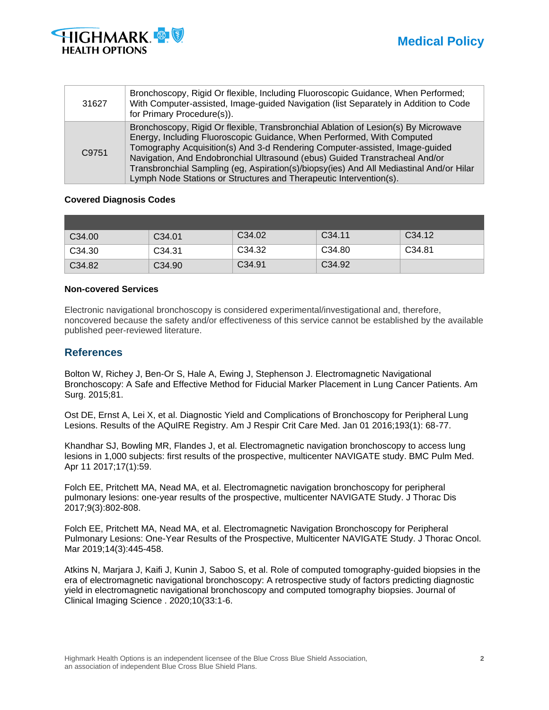



| 31627 | Bronchoscopy, Rigid Or flexible, Including Fluoroscopic Guidance, When Performed;<br>With Computer-assisted, Image-guided Navigation (list Separately in Addition to Code<br>for Primary Procedure(s)).                                                                                                                                                                                                                                                                                     |
|-------|---------------------------------------------------------------------------------------------------------------------------------------------------------------------------------------------------------------------------------------------------------------------------------------------------------------------------------------------------------------------------------------------------------------------------------------------------------------------------------------------|
| C9751 | Bronchoscopy, Rigid Or flexible, Transbronchial Ablation of Lesion(s) By Microwave<br>Energy, Including Fluoroscopic Guidance, When Performed, With Computed<br>Tomography Acquisition(s) And 3-d Rendering Computer-assisted, Image-guided<br>Navigation, And Endobronchial Ultrasound (ebus) Guided Transtracheal And/or<br>Transbronchial Sampling (eg, Aspiration(s)/biopsy(ies) And All Mediastinal And/or Hilar<br>Lymph Node Stations or Structures and Therapeutic Intervention(s). |

#### **Covered Diagnosis Codes**

| C <sub>34.00</sub> | C <sub>34.01</sub> | C34.02             | C <sub>34.11</sub> | C <sub>34.12</sub> |
|--------------------|--------------------|--------------------|--------------------|--------------------|
| C34.30             | C <sub>34.31</sub> | C34.32             | C <sub>34.80</sub> | C <sub>34.81</sub> |
| C34.82             | C <sub>34.90</sub> | C <sub>34.91</sub> | C <sub>34.92</sub> |                    |

#### **Non-covered Services**

Electronic navigational bronchoscopy is considered experimental/investigational and, therefore, noncovered because the safety and/or effectiveness of this service cannot be established by the available published peer-reviewed literature.

# **References**

Bolton W, Richey J, Ben-Or S, Hale A, Ewing J, Stephenson J. Electromagnetic Navigational Bronchoscopy: A Safe and Effective Method for Fiducial Marker Placement in Lung Cancer Patients. Am Surg. 2015;81.

Ost DE, Ernst A, Lei X, et al. Diagnostic Yield and Complications of Bronchoscopy for Peripheral Lung Lesions. Results of the AQuIRE Registry. Am J Respir Crit Care Med. Jan 01 2016;193(1): 68-77.

Khandhar SJ, Bowling MR, Flandes J, et al. Electromagnetic navigation bronchoscopy to access lung lesions in 1,000 subjects: first results of the prospective, multicenter NAVIGATE study. BMC Pulm Med. Apr 11 2017;17(1):59.

Folch EE, Pritchett MA, Nead MA, et al. Electromagnetic navigation bronchoscopy for peripheral pulmonary lesions: one-year results of the prospective, multicenter NAVIGATE Study. J Thorac Dis 2017;9(3):802-808.

Folch EE, Pritchett MA, Nead MA, et al. Electromagnetic Navigation Bronchoscopy for Peripheral Pulmonary Lesions: One-Year Results of the Prospective, Multicenter NAVIGATE Study. J Thorac Oncol. Mar 2019;14(3):445-458.

Atkins N, Marjara J, Kaifi J, Kunin J, Saboo S, et al. Role of computed tomography-guided biopsies in the era of electromagnetic navigational bronchoscopy: A retrospective study of factors predicting diagnostic yield in electromagnetic navigational bronchoscopy and computed tomography biopsies. Journal of Clinical Imaging Science . 2020;10(33:1-6.